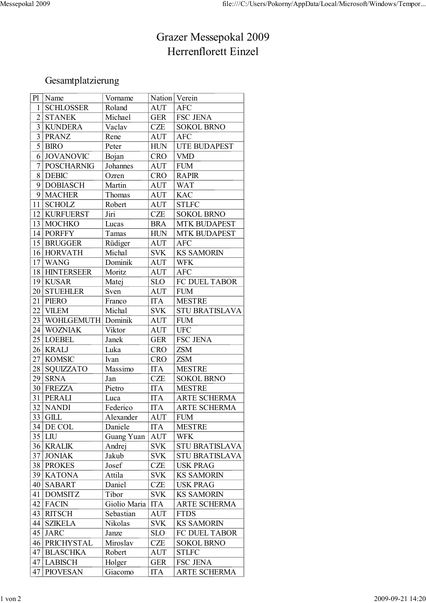## Grazer Messepokal 2009 Herrenflorett Einzel

## Gesamtplatzierung

| P <sub>1</sub>  | Name              | Vorname      | Nation Verein |                       |
|-----------------|-------------------|--------------|---------------|-----------------------|
| 1               | <b>SCHLOSSER</b>  | Roland       | <b>AUT</b>    | <b>AFC</b>            |
| $\overline{2}$  | <b>STANEK</b>     | Michael      | <b>GER</b>    | <b>FSC JENA</b>       |
| $\overline{3}$  | <b>KUNDERA</b>    | Vaclav       | <b>CZE</b>    | <b>SOKOL BRNO</b>     |
| 3               | <b>PRANZ</b>      | Rene         | <b>AUT</b>    | <b>AFC</b>            |
| 5               | <b>BIRO</b>       | Peter        | <b>HUN</b>    | <b>UTE BUDAPEST</b>   |
| 6               | <b>JOVANOVIC</b>  | Bojan        | <b>CRO</b>    | <b>VMD</b>            |
| 7               | <b>POSCHARNIG</b> | Johannes     | <b>AUT</b>    | <b>FUM</b>            |
| 8               | <b>DEBIC</b>      | Ozren        | <b>CRO</b>    | <b>RAPIR</b>          |
| 9               | <b>DOBIASCH</b>   | Martin       | <b>AUT</b>    | <b>WAT</b>            |
| 9               | <b>MACHER</b>     | Thomas       | <b>AUT</b>    | <b>KAC</b>            |
| 11              | <b>SCHOLZ</b>     | Robert       | <b>AUT</b>    | <b>STLFC</b>          |
| 12              | <b>KURFUERST</b>  | Jiri         | <b>CZE</b>    | <b>SOKOL BRNO</b>     |
| 13              | <b>MOCHKO</b>     | Lucas        | <b>BRA</b>    | <b>MTK BUDAPEST</b>   |
| 14              | <b>PORFFY</b>     | Tamas        | <b>HUN</b>    | <b>MTK BUDAPEST</b>   |
| 15              | <b>BRUGGER</b>    | Rüdiger      | <b>AUT</b>    | <b>AFC</b>            |
|                 | 16 HORVATH        | Michal       | <b>SVK</b>    | <b>KS SAMORIN</b>     |
| 17              | <b>WANG</b>       | Dominik      | <b>AUT</b>    | <b>WFK</b>            |
| 18              | <b>HINTERSEER</b> | Moritz       | <b>AUT</b>    | <b>AFC</b>            |
| 19              | <b>KUSAR</b>      | Matej        | <b>SLO</b>    | FC DUEL TABOR         |
| 20 <sup>1</sup> | <b>STUEHLER</b>   | Sven         | <b>AUT</b>    | <b>FUM</b>            |
| 21              | <b>PIERO</b>      | Franco       | <b>ITA</b>    | <b>MESTRE</b>         |
| 22              | <b>VILEM</b>      | Michal       | <b>SVK</b>    | <b>STU BRATISLAVA</b> |
| 23              | WOHLGEMUTH        | Dominik      | <b>AUT</b>    | <b>FUM</b>            |
| 24              | <b>WOZNIAK</b>    | Viktor       | <b>AUT</b>    | <b>UFC</b>            |
| 25              | <b>LOEBEL</b>     | Janek        | <b>GER</b>    | <b>FSC JENA</b>       |
| 26              | <b>KRALJ</b>      | Luka         | <b>CRO</b>    | <b>ZSM</b>            |
| 27              | <b>KOMSIC</b>     | Ivan         | <b>CRO</b>    | <b>ZSM</b>            |
| 28              | <b>SQUIZZATO</b>  | Massimo      | <b>ITA</b>    | <b>MESTRE</b>         |
| 29              | <b>SRNA</b>       | Jan          | <b>CZE</b>    | <b>SOKOL BRNO</b>     |
| 30              | <b>FREZZA</b>     | Pietro       | <b>ITA</b>    | <b>MESTRE</b>         |
| 31              | PERALI            | Luca         | <b>ITA</b>    | <b>ARTE SCHERMA</b>   |
| 32              | <b>NANDI</b>      | Federico     | <b>ITA</b>    | <b>ARTE SCHERMA</b>   |
|                 | $33$ GILL         | Alexander    | <b>AUT</b>    | <b>FUM</b>            |
| 34              | DE COL            | Daniele      | <b>ITA</b>    | <b>MESTRE</b>         |
|                 | $35$ LIU          | Guang Yuan   | <b>AUT</b>    | <b>WFK</b>            |
|                 | 36 KRALIK         | Andrej       | <b>SVK</b>    | <b>STU BRATISLAVA</b> |
| 37              | <b>JONIAK</b>     | Jakub        | <b>SVK</b>    | <b>STU BRATISLAVA</b> |
|                 | 38 PROKES         | Josef        | <b>CZE</b>    | <b>USK PRAG</b>       |
|                 | 39 KATONA         | Attila       | <b>SVK</b>    | <b>KS SAMORIN</b>     |
| 40              | <b>SABART</b>     | Daniel       | <b>CZE</b>    | <b>USK PRAG</b>       |
| 41              | <b>DOMSITZ</b>    | Tibor        | <b>SVK</b>    | <b>KS SAMORIN</b>     |
| 42              | <b>FACIN</b>      | Giolio Maria | <b>ITA</b>    | <b>ARTE SCHERMA</b>   |
| 43              | <b>RITSCH</b>     | Sebastian    | <b>AUT</b>    | <b>FTDS</b>           |
| 44              | <b>SZIKELA</b>    | Nikolas      | <b>SVK</b>    | <b>KS SAMORIN</b>     |
| 45              | <b>JARC</b>       | Janze        | <b>SLO</b>    | FC DUEL TABOR         |
| 46              | PRICHYSTAL        | Miroslav     | <b>CZE</b>    | <b>SOKOL BRNO</b>     |
| 47              | <b>BLASCHKA</b>   | Robert       | <b>AUT</b>    | <b>STLFC</b>          |
| 47              | <b>LABISCH</b>    | Holger       | <b>GER</b>    | FSC JENA              |
| 47              | <b>PIOVESAN</b>   | Giacomo      | <b>ITA</b>    | <b>ARTE SCHERMA</b>   |